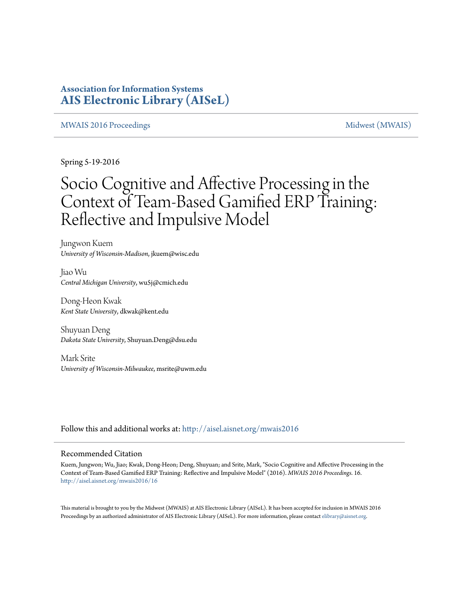### **Association for Information Systems [AIS Electronic Library \(AISeL\)](http://aisel.aisnet.org?utm_source=aisel.aisnet.org%2Fmwais2016%2F16&utm_medium=PDF&utm_campaign=PDFCoverPages)**

#### [MWAIS 2016 Proceedings](http://aisel.aisnet.org/mwais2016?utm_source=aisel.aisnet.org%2Fmwais2016%2F16&utm_medium=PDF&utm_campaign=PDFCoverPages) and the state of the material state of the [Midwest \(MWAIS\)](http://aisel.aisnet.org/mwais?utm_source=aisel.aisnet.org%2Fmwais2016%2F16&utm_medium=PDF&utm_campaign=PDFCoverPages)

Spring 5-19-2016

# Socio Cognitive and Affective Processing in the Context of Team-Based Gamified ERP Training: Reflective and Impulsive Model

Jungwon Kuem *University of Wisconsin-Madison*, jkuem@wisc.edu

Jiao Wu *Central Michigan University*, wu5j@cmich.edu

Dong-Heon Kwak *Kent State University*, dkwak@kent.edu

Shuyuan Deng *Dakota State University*, Shuyuan.Deng@dsu.edu

Mark Srite *University of Wisconsin-Milwaukee*, msrite@uwm.edu

Follow this and additional works at: [http://aisel.aisnet.org/mwais2016](http://aisel.aisnet.org/mwais2016?utm_source=aisel.aisnet.org%2Fmwais2016%2F16&utm_medium=PDF&utm_campaign=PDFCoverPages)

#### Recommended Citation

Kuem, Jungwon; Wu, Jiao; Kwak, Dong-Heon; Deng, Shuyuan; and Srite, Mark, "Socio Cognitive and Affective Processing in the Context of Team-Based Gamified ERP Training: Reflective and Impulsive Model" (2016). *MWAIS 2016 Proceedings*. 16. [http://aisel.aisnet.org/mwais2016/16](http://aisel.aisnet.org/mwais2016/16?utm_source=aisel.aisnet.org%2Fmwais2016%2F16&utm_medium=PDF&utm_campaign=PDFCoverPages)

This material is brought to you by the Midwest (MWAIS) at AIS Electronic Library (AISeL). It has been accepted for inclusion in MWAIS 2016 Proceedings by an authorized administrator of AIS Electronic Library (AISeL). For more information, please contact [elibrary@aisnet.org](mailto:elibrary@aisnet.org%3E).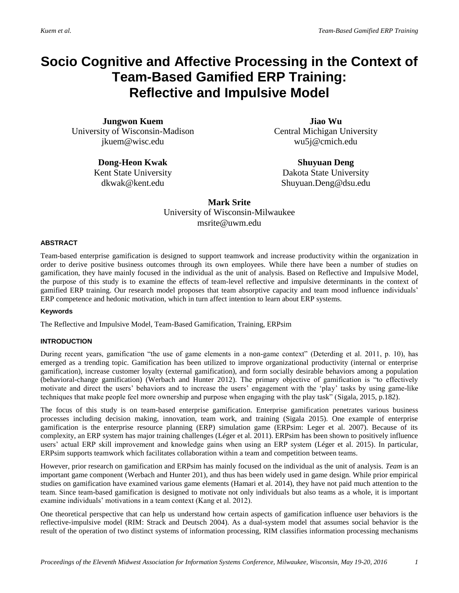## **Socio Cognitive and Affective Processing in the Context of Team-Based Gamified ERP Training: Reflective and Impulsive Model**

**Jungwon Kuem** University of Wisconsin-Madison jkuem@wisc.edu

> **Dong-Heon Kwak** Kent State University dkwak@kent.edu

**Jiao Wu** Central Michigan University wu5j@cmich.edu

**Shuyuan Deng** Dakota State University Shuyuan.Deng@dsu.edu

**Mark Srite** University of Wisconsin-Milwaukee msrite@uwm.edu

#### **ABSTRACT**

Team-based enterprise gamification is designed to support teamwork and increase productivity within the organization in order to derive positive business outcomes through its own employees. While there have been a number of studies on gamification, they have mainly focused in the individual as the unit of analysis. Based on Reflective and Impulsive Model, the purpose of this study is to examine the effects of team-level reflective and impulsive determinants in the context of gamified ERP training. Our research model proposes that team absorptive capacity and team mood influence individuals' ERP competence and hedonic motivation, which in turn affect intention to learn about ERP systems.

#### **Keywords**

The Reflective and Impulsive Model, Team-Based Gamification, Training, ERPsim

#### **INTRODUCTION**

During recent years, gamification "the use of game elements in a non-game context" (Deterding et al. 2011, p. 10), has emerged as a trending topic. Gamification has been utilized to improve organizational productivity (internal or enterprise gamification), increase customer loyalty (external gamification), and form socially desirable behaviors among a population (behavioral-change gamification) (Werbach and Hunter 2012). The primary objective of gamification is "to effectively motivate and direct the users' behaviors and to increase the users' engagement with the 'play' tasks by using game-like techniques that make people feel more ownership and purpose when engaging with the play task" (Sigala, 2015, p.182).

The focus of this study is on team-based enterprise gamification. Enterprise gamification penetrates various business processes including decision making, innovation, team work, and training (Sigala 2015). One example of enterprise gamification is the enterprise resource planning (ERP) simulation game (ERPsim: Leger et al. 2007). Because of its complexity, an ERP system has major training challenges (Léger et al. 2011). ERPsim has been shown to positively influence users' actual ERP skill improvement and knowledge gains when using an ERP system (Léger et al. 2015). In particular, ERPsim supports teamwork which facilitates collaboration within a team and competition between teams.

However, prior research on gamification and ERPsim has mainly focused on the individual as the unit of analysis. *Team* is an important game component (Werbach and Hunter 201), and thus has been widely used in game design. While prior empirical studies on gamification have examined various game elements (Hamari et al. 2014), they have not paid much attention to the team. Since team-based gamification is designed to motivate not only individuals but also teams as a whole, it is important examine individuals' motivations in a team context (Kang et al. 2012).

One theoretical perspective that can help us understand how certain aspects of gamification influence user behaviors is the reflective-impulsive model (RIM: Strack and Deutsch 2004). As a dual-system model that assumes social behavior is the result of the operation of two distinct systems of information processing, RIM classifies information processing mechanisms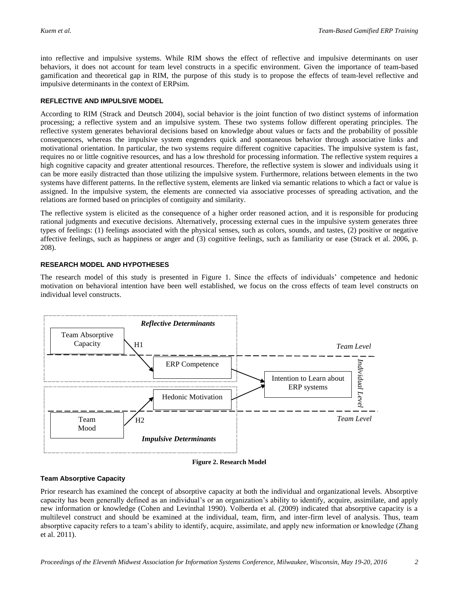into reflective and impulsive systems. While RIM shows the effect of reflective and impulsive determinants on user behaviors, it does not account for team level constructs in a specific environment. Given the importance of team-based gamification and theoretical gap in RIM, the purpose of this study is to propose the effects of team-level reflective and impulsive determinants in the context of ERPsim.

#### **REFLECTIVE AND IMPULSIVE MODEL**

According to RIM (Strack and Deutsch 2004), social behavior is the joint function of two distinct systems of information processing; a reflective system and an impulsive system. These two systems follow different operating principles. The reflective system generates behavioral decisions based on knowledge about values or facts and the probability of possible consequences, whereas the impulsive system engenders quick and spontaneous behavior through associative links and motivational orientation. In particular, the two systems require different cognitive capacities. The impulsive system is fast, requires no or little cognitive resources, and has a low threshold for processing information. The reflective system requires a high cognitive capacity and greater attentional resources. Therefore, the reflective system is slower and individuals using it can be more easily distracted than those utilizing the impulsive system. Furthermore, relations between elements in the two systems have different patterns. In the reflective system, elements are linked via semantic relations to which a fact or value is assigned. In the impulsive system, the elements are connected via associative processes of spreading activation, and the relations are formed based on principles of contiguity and similarity.

The reflective system is elicited as the consequence of a higher order reasoned action, and it is responsible for producing rational judgments and executive decisions. Alternatively, processing external cues in the impulsive system generates three types of feelings: (1) feelings associated with the physical senses, such as colors, sounds, and tastes, (2) positive or negative affective feelings, such as happiness or anger and (3) cognitive feelings, such as familiarity or ease (Strack et al. 2006, p. 208).

#### **RESEARCH MODEL AND HYPOTHESES**

The research model of this study is presented in Figure 1. Since the effects of individuals' competence and hedonic motivation on behavioral intention have been well established, we focus on the cross effects of team level constructs on individual level constructs.





#### **Team Absorptive Capacity**

Prior research has examined the concept of absorptive capacity at both the individual and organizational levels. Absorptive capacity has been generally defined as an individual's or an organization's ability to identify, acquire, assimilate, and apply new information or knowledge (Cohen and Levinthal 1990). Volberda et al. (2009) indicated that absorptive capacity is a multilevel construct and should be examined at the individual, team, firm, and inter-firm level of analysis. Thus, team absorptive capacity refers to a team's ability to identify, acquire, assimilate, and apply new information or knowledge (Zhang et al. 2011).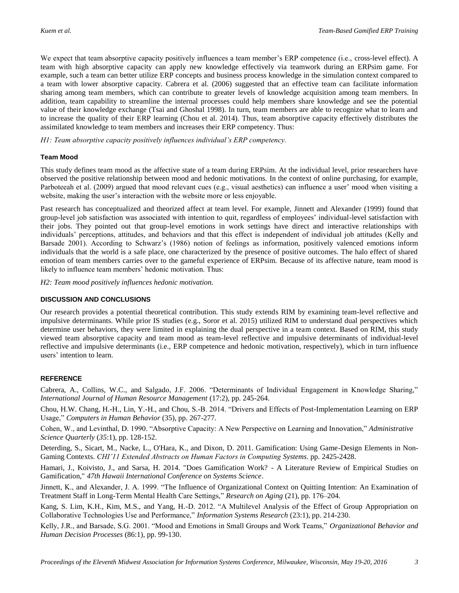We expect that team absorptive capacity positively influences a team member's ERP competence (i.e., cross-level effect). A team with high absorptive capacity can apply new knowledge effectively via teamwork during an ERPsim game. For example, such a team can better utilize ERP concepts and business process knowledge in the simulation context compared to a team with lower absorptive capacity. Cabrera et al. (2006) suggested that an effective team can facilitate information sharing among team members, which can contribute to greater levels of knowledge acquisition among team members. In addition, team capability to streamline the internal processes could help members share knowledge and see the potential value of their knowledge exchange (Tsai and Ghoshal 1998). In turn, team members are able to recognize what to learn and to increase the quality of their ERP learning (Chou et al. 2014). Thus, team absorptive capacity effectively distributes the assimilated knowledge to team members and increases their ERP competency. Thus:

*H1: Team absorptive capacity positively influences individual's ERP competency.*

#### **Team Mood**

This study defines team mood as the affective state of a team during ERPsim. At the individual level, prior researchers have observed the positive relationship between mood and hedonic motivations. In the context of online purchasing, for example, Parboteeah et al. (2009) argued that mood relevant cues (e.g., visual aesthetics) can influence a user' mood when visiting a website, making the user's interaction with the website more or less enjoyable.

Past research has conceptualized and theorized affect at team level. For example, Jinnett and Alexander (1999) found that group-level job satisfaction was associated with intention to quit, regardless of employees' individual-level satisfaction with their jobs. They pointed out that group-level emotions in work settings have direct and interactive relationships with individuals' perceptions, attitudes, and behaviors and that this effect is independent of individual job attitudes (Kelly and Barsade 2001). According to Schwarz's (1986) notion of feelings as information, positively valenced emotions inform individuals that the world is a safe place, one characterized by the presence of positive outcomes. The halo effect of shared emotion of team members carries over to the gameful experience of ERPsim. Because of its affective nature, team mood is likely to influence team members' hedonic motivation. Thus:

*H2: Team mood positively influences hedonic motivation.*

#### **DISCUSSION AND CONCLUSIONS**

Our research provides a potential theoretical contribution. This study extends RIM by examining team-level reflective and impulsive determinants. While prior IS studies (e.g., Soror et al. 2015) utilized RIM to understand dual perspectives which determine user behaviors, they were limited in explaining the dual perspective in a team context. Based on RIM, this study viewed team absorptive capacity and team mood as team-level reflective and impulsive determinants of individual-level reflective and impulsive determinants (i.e., ERP competence and hedonic motivation, respectively), which in turn influence users' intention to learn.

#### **REFERENCE**

Cabrera, A., Collins, W.C., and Salgado, J.F. 2006. "Determinants of Individual Engagement in Knowledge Sharing," *International Journal of Human Resource Management* (17:2), pp. 245-264.

Chou, H.W. Chang, H.-H., Lin, Y.-H., and Chou, S.-B. 2014. "Drivers and Effects of Post-Implementation Learning on ERP Usage," *Computers in Human Behavior* (35), pp. 267-277.

Cohen, W., and Levinthal, D. 1990. "Absorptive Capacity: A New Perspective on Learning and Innovation," *Administrative Science Quarterly* (*35*:1), pp. 128-152.

Deterding, S., Sicart, M., Nacke, L., O'Hara, K., and Dixon, D. 2011. Gamification: Using Game-Design Elements in Non-Gaming Contexts. *CHI'11 Extended Abstracts on Human Factors in Computing Systems*. pp. 2425-2428.

Hamari, J., Koivisto, J., and Sarsa, H. 2014. "Does Gamification Work? - A Literature Review of Empirical Studies on Gamification," *47th Hawaii International Conference on Systems Science*.

Jinnett, K., and Alexander, J. A. 1999. "The Influence of Organizational Context on Quitting Intention: An Examination of Treatment Staff in Long-Term Mental Health Care Settings," *Research on Aging* (21), pp. 176–204.

Kang, S. Lim, K.H., Kim, M.S., and Yang, H.-D. 2012. "A Multilevel Analysis of the Effect of Group Appropriation on Collaborative Technologies Use and Performance," *Information Systems Research* (23:1), pp. 214-230.

Kelly, J.R., and Barsade, S.G. 2001. "Mood and Emotions in Small Groups and Work Teams," *Organizational Behavior and Human Decision Processes* (86:1), pp. 99-130.